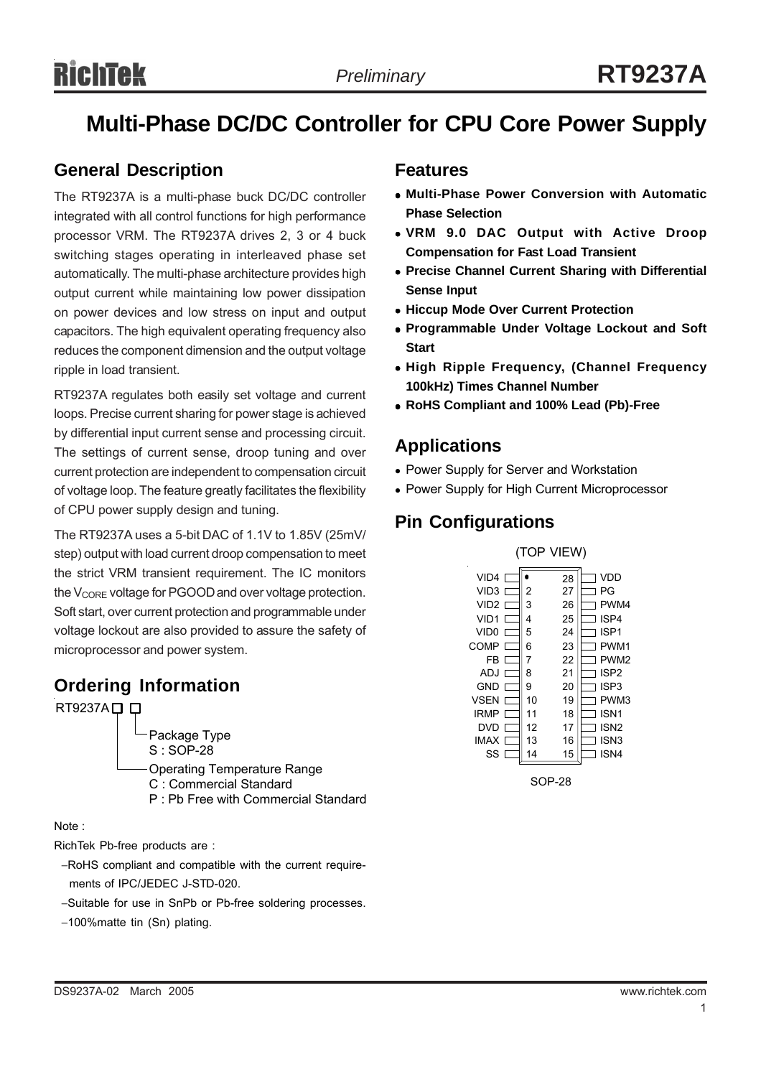# **Multi-Phase DC/DC Controller for CPU Core Power Supply**

# **General Description**

The RT9237A is a multi-phase buck DC/DC controller integrated with all control functions for high performance processor VRM. The RT9237A drives 2, 3 or 4 buck switching stages operating in interleaved phase set automatically. The multi-phase architecture provides high output current while maintaining low power dissipation on power devices and low stress on input and output capacitors. The high equivalent operating frequency also reduces the component dimension and the output voltage ripple in load transient.

RT9237A regulates both easily set voltage and current loops. Precise current sharing for power stage is achieved by differential input current sense and processing circuit. The settings of current sense, droop tuning and over current protection are independent to compensation circuit of voltage loop. The feature greatly facilitates the flexibility of CPU power supply design and tuning.

The RT9237A uses a 5-bit DAC of 1.1V to 1.85V (25mV/ step) output with load current droop compensation to meet the strict VRM transient requirement. The IC monitors the V<sub>CORE</sub> voltage for PGOOD and over voltage protection. Soft start, over current protection and programmable under voltage lockout are also provided to assure the safety of microprocessor and power system.

# **Ordering Information**

RT9237A口口

Package Type S : SOP-28 Operating Temperature Range C : Commercial Standard P : Pb Free with Commercial Standard

#### Note :

RichTek Pb-free products are :

- −RoHS compliant and compatible with the current require ments of IPC/JEDEC J-STD-020.
- −Suitable for use in SnPb or Pb-free soldering processes.
- −100%matte tin (Sn) plating.

# **Features**

- <sup>z</sup> **Multi-Phase Power Conversion with Automatic Phase Selection**
- <sup>z</sup> **VRM 9.0 DAC Output with Active Droop Compensation for Fast Load Transient**
- **Precise Channel Current Sharing with Differential Sense Input**
- $\bullet$  **Hiccup Mode Over Current Protection**
- **Programmable Under Voltage Lockout and Soft Start**
- <sup>z</sup> **High Ripple Frequency, (Channel Frequency 100kHz) Times Channel Number**
- <sup>z</sup> **RoHS Compliant and 100% Lead (Pb)-Free**

# **Applications**

- Power Supply for Server and Workstation
- Power Supply for High Current Microprocessor

# **Pin Configurations**



SOP-28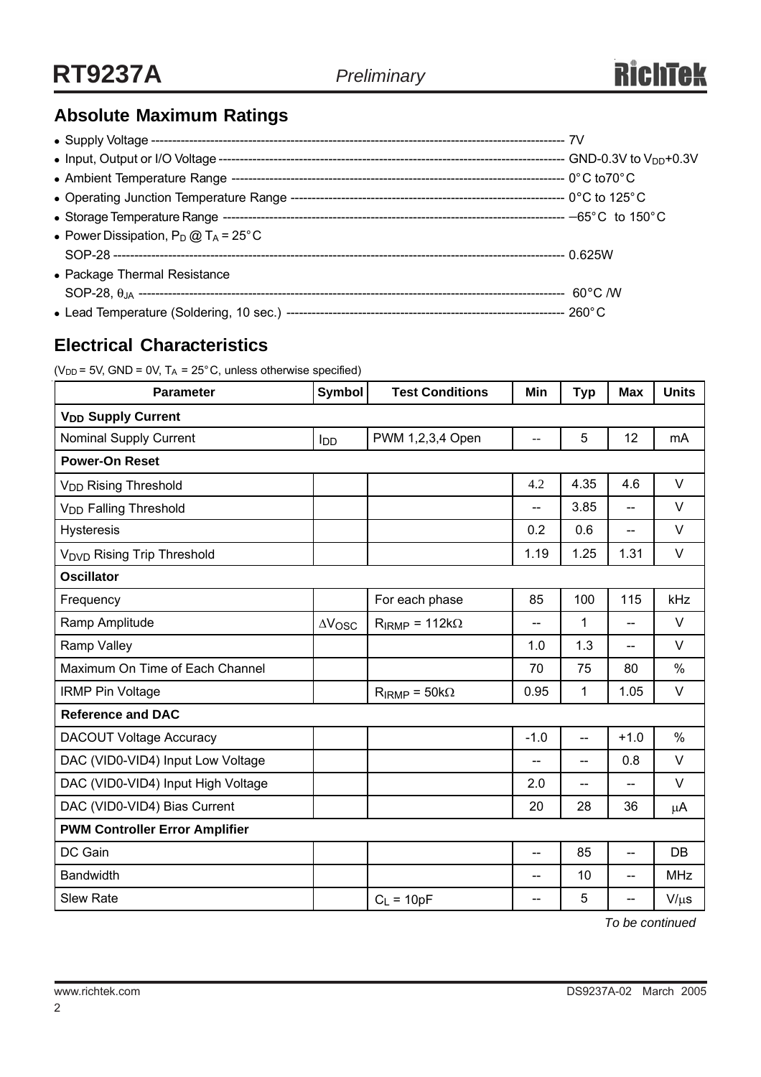# **Absolute Maximum Ratings**

| • Power Dissipation, $P_D @ T_A = 25^{\circ}C$ |  |
|------------------------------------------------|--|
|                                                |  |
| • Package Thermal Resistance                   |  |
|                                                |  |
|                                                |  |

# **Electrical Characteristics**

( $V_{DD}$  = 5V, GND = 0V, T<sub>A</sub> = 25°C, unless otherwise specified)

| <b>Parameter</b>                      | Symbol          | <b>Test Conditions</b>  | Min    | <b>Typ</b>               | <b>Max</b>               | <b>Units</b> |  |  |  |
|---------------------------------------|-----------------|-------------------------|--------|--------------------------|--------------------------|--------------|--|--|--|
| <b>V<sub>DD</sub></b> Supply Current  |                 |                         |        |                          |                          |              |  |  |  |
| <b>Nominal Supply Current</b>         | l <sub>DD</sub> | PWM 1,2,3,4 Open        | --     | 5                        | 12                       | mA           |  |  |  |
| <b>Power-On Reset</b>                 |                 |                         |        |                          |                          |              |  |  |  |
| V <sub>DD</sub> Rising Threshold      |                 |                         | 4.2    | 4.35                     | 4.6                      | $\vee$       |  |  |  |
| V <sub>DD</sub> Falling Threshold     |                 |                         | $-$    | 3.85                     | --                       | $\vee$       |  |  |  |
| <b>Hysteresis</b>                     |                 |                         | 0.2    | 0.6                      | $\overline{\phantom{a}}$ | V            |  |  |  |
| <b>VDVD Rising Trip Threshold</b>     |                 |                         | 1.19   | 1.25                     | 1.31                     | V            |  |  |  |
| <b>Oscillator</b>                     |                 |                         |        |                          |                          |              |  |  |  |
| Frequency                             |                 | For each phase          | 85     | 100                      | 115                      | kHz          |  |  |  |
| Ramp Amplitude                        | $\Delta V$ OSC  | $R_{IRMP} = 112k\Omega$ | $-$    | 1                        | $-$                      | V            |  |  |  |
| Ramp Valley                           |                 |                         | 1.0    | 1.3                      | $\overline{a}$           | $\vee$       |  |  |  |
| Maximum On Time of Each Channel       |                 |                         | 70     | 75                       | 80                       | $\%$         |  |  |  |
| <b>IRMP Pin Voltage</b>               |                 | $R_{IRMP} = 50 k\Omega$ | 0.95   | 1                        | 1.05                     | V            |  |  |  |
| <b>Reference and DAC</b>              |                 |                         |        |                          |                          |              |  |  |  |
| <b>DACOUT Voltage Accuracy</b>        |                 |                         | $-1.0$ | $\overline{\phantom{a}}$ | $+1.0$                   | $\%$         |  |  |  |
| DAC (VID0-VID4) Input Low Voltage     |                 |                         | $-$    | $\overline{a}$           | 0.8                      | $\vee$       |  |  |  |
| DAC (VID0-VID4) Input High Voltage    |                 |                         | 2.0    | $-$                      |                          | V            |  |  |  |
| DAC (VID0-VID4) Bias Current          |                 |                         | 20     | 28                       | 36                       | μA           |  |  |  |
| <b>PWM Controller Error Amplifier</b> |                 |                         |        |                          |                          |              |  |  |  |
| DC Gain                               |                 |                         | $-$    | 85                       | --                       | DB           |  |  |  |
| <b>Bandwidth</b>                      |                 |                         | --     | 10                       | --                       | <b>MHz</b>   |  |  |  |
| <b>Slew Rate</b>                      |                 | $C_L = 10pF$            | --     | 5                        | --                       | $V/\mu s$    |  |  |  |

*To be continued*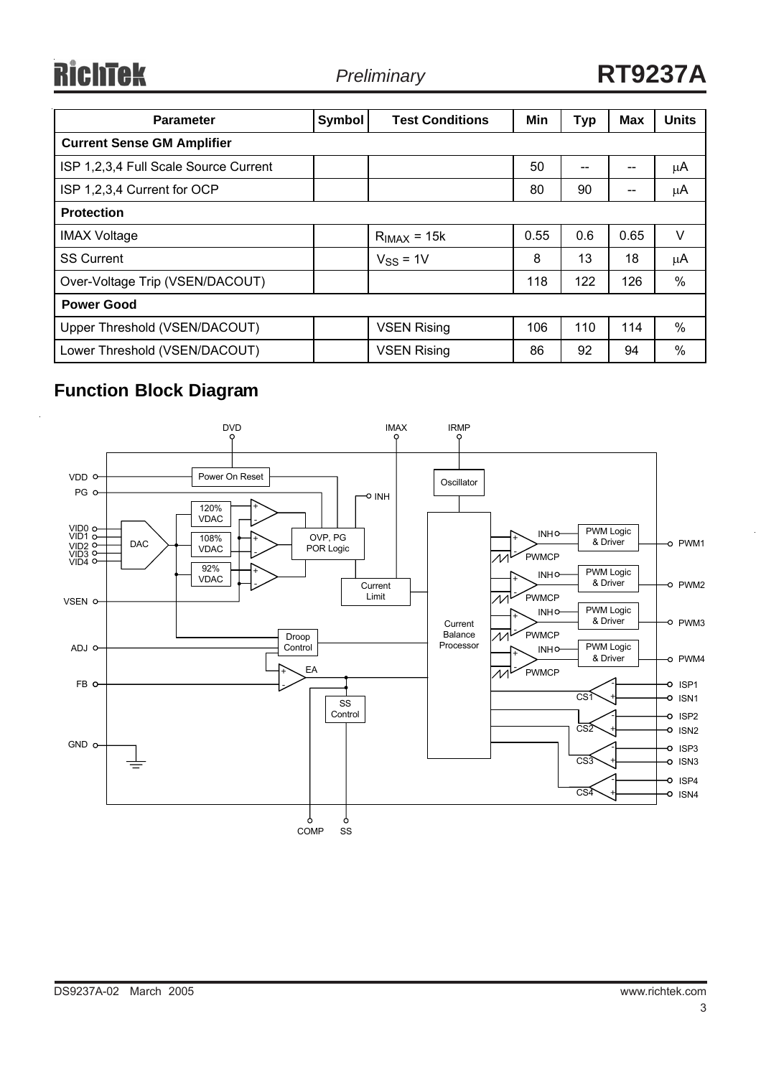**RichTek** 

| <b>Parameter</b>                      | Symbol | <b>Test Conditions</b> | Min  | <b>Typ</b> | <b>Max</b> | <b>Units</b> |  |  |
|---------------------------------------|--------|------------------------|------|------------|------------|--------------|--|--|
| <b>Current Sense GM Amplifier</b>     |        |                        |      |            |            |              |  |  |
| ISP 1,2,3,4 Full Scale Source Current |        |                        | 50   | $- -$      | --         | μA           |  |  |
| ISP 1,2,3,4 Current for OCP           |        |                        | 80   | 90         |            | μA           |  |  |
| <b>Protection</b>                     |        |                        |      |            |            |              |  |  |
| <b>IMAX Voltage</b>                   |        | $RIMAX = 15k$          | 0.55 | 0.6        | 0.65       | $\vee$       |  |  |
| <b>SS Current</b>                     |        | $VSS = 1V$             | 8    | 13         | 18         | $\mu$ A      |  |  |
| Over-Voltage Trip (VSEN/DACOUT)       |        |                        | 118  | 122        | 126        | $\%$         |  |  |
| <b>Power Good</b>                     |        |                        |      |            |            |              |  |  |
| Upper Threshold (VSEN/DACOUT)         |        | <b>VSEN Rising</b>     | 106  | 110        | 114        | $\%$         |  |  |
| Lower Threshold (VSEN/DACOUT)         |        | <b>VSEN Rising</b>     | 86   | 92         | 94         | $\%$         |  |  |

# **Function Block Diagram**

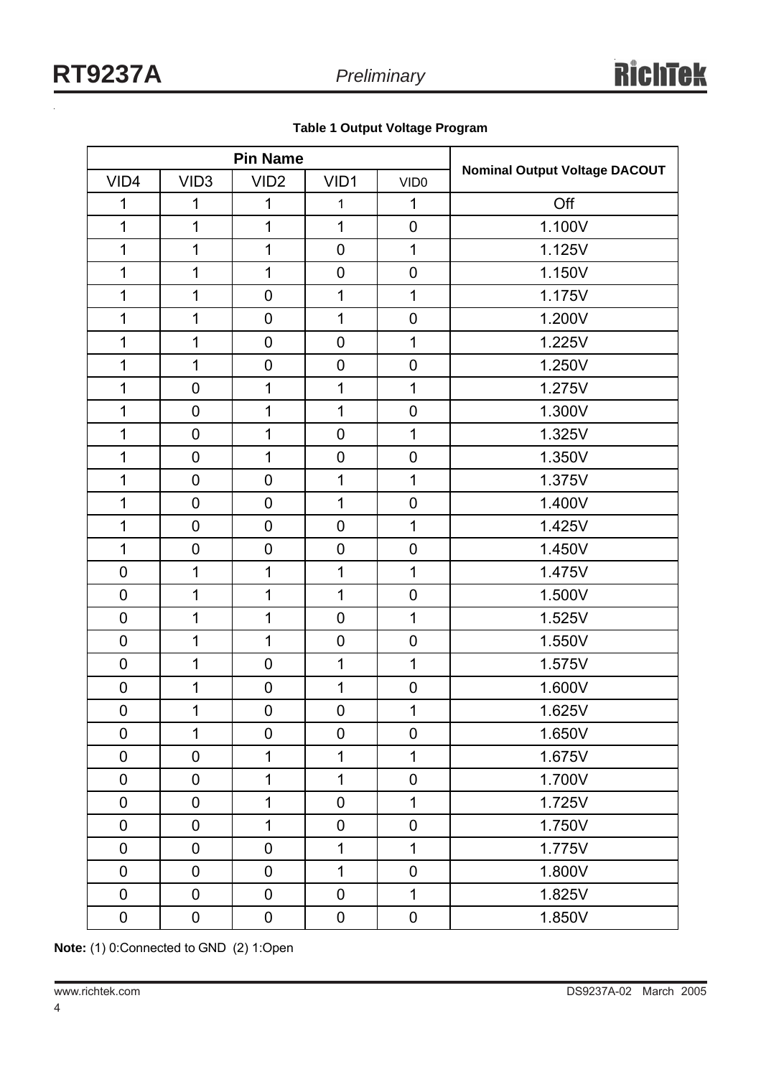| <b>Pin Name</b>  |                  |                  |                |                  |                                      |
|------------------|------------------|------------------|----------------|------------------|--------------------------------------|
| VID4             | VID <sub>3</sub> | VID <sub>2</sub> | VID1           | VID <sub>0</sub> | <b>Nominal Output Voltage DACOUT</b> |
| 1                | 1                | 1                | 1              | 1                | Off                                  |
| 1                | 1                | $\overline{1}$   | $\overline{1}$ | $\mathbf 0$      | 1.100V                               |
| 1                | $\mathbf 1$      | 1                | $\mathbf 0$    | 1                | 1.125V                               |
| 1                | $\mathbf 1$      | $\mathbf 1$      | $\mathbf 0$    | $\mathbf 0$      | 1.150V                               |
| 1                | $\mathbf 1$      | $\mathbf 0$      | 1              | 1                | 1.175V                               |
| 1                | $\mathbf 1$      | $\overline{0}$   | 1              | $\mathbf 0$      | 1.200V                               |
| 1                | $\mathbf 1$      | $\overline{0}$   | $\mathbf 0$    | 1                | 1.225V                               |
| 1                | $\mathbf 1$      | $\mathbf 0$      | $\mathbf 0$    | $\mathbf 0$      | 1.250V                               |
| 1                | $\mathbf 0$      | 1                | 1              | 1                | 1.275V                               |
| 1                | $\mathbf 0$      | 1                | 1              | $\mathbf 0$      | 1.300V                               |
| 1                | $\mathbf 0$      | 1                | $\mathbf 0$    | 1                | 1.325V                               |
| 1                | $\mathbf 0$      | 1                | $\mathbf 0$    | $\mathbf 0$      | 1.350V                               |
| 1                | $\mathbf 0$      | $\mathbf 0$      | 1              | 1                | 1.375V                               |
| 1                | $\mathbf 0$      | $\overline{0}$   | 1              | $\mathbf 0$      | 1.400V                               |
| 1                | $\mathbf 0$      | $\overline{0}$   | $\mathbf 0$    | 1                | 1.425V                               |
| 1                | $\pmb{0}$        | $\mathbf 0$      | $\mathbf 0$    | $\mathbf 0$      | 1.450V                               |
| $\mathbf 0$      | $\mathbf 1$      | 1                | 1              | 1                | 1.475V                               |
| $\mathsf 0$      | $\mathbf 1$      | 1                | 1              | $\mathbf 0$      | 1.500V                               |
| $\boldsymbol{0}$ | $\mathbf{1}$     | 1                | $\mathbf 0$    | 1                | 1.525V                               |
| $\mathbf 0$      | $\mathbf 1$      | 1                | $\mathbf 0$    | $\overline{0}$   | 1.550V                               |
| $\boldsymbol{0}$ | $\mathbf{1}$     | $\mathbf 0$      | 1              | 1                | 1.575V                               |
| $\mathbf 0$      | $\mathbf 1$      | $\mathbf 0$      | 1              | $\mathbf 0$      | 1.600V                               |
| $\mathbf 0$      | $\mathbf 1$      | $\mathbf 0$      | $\mathbf 0$    | 1                | 1.625V                               |
| $\mathbf 0$      | $\mathbf{1}$     | $\mathbf 0$      | $\mathbf 0$    | $\mathbf 0$      | 1.650V                               |
| $\mathbf 0$      | $\mathbf 0$      | $\mathbf 1$      | 1              | 1                | 1.675V                               |
| $\mathbf 0$      | $\mathbf 0$      | 1                | $\mathbf 1$    | $\mathbf 0$      | 1.700V                               |
| $\mathbf 0$      | $\mathbf 0$      | $\mathbf 1$      | $\mathbf 0$    | $\mathbf 1$      | 1.725V                               |
| $\mathbf 0$      | $\mathbf 0$      | $\mathbf 1$      | $\pmb{0}$      | $\mathbf 0$      | 1.750V                               |
| $\mathbf 0$      | $\mathbf 0$      | $\mathbf 0$      | 1              | $\mathbf 1$      | 1.775V                               |
| $\mathbf 0$      | $\mathbf 0$      | $\mathbf 0$      | $\mathbf 1$    | $\mathbf 0$      | 1.800V                               |
| $\mathbf 0$      | $\mathbf 0$      | $\mathbf 0$      | $\mathbf 0$    | $\mathbf 1$      | 1.825V                               |
| $\pmb{0}$        | $\pmb{0}$        | 0                | $\pmb{0}$      | $\pmb{0}$        | 1.850V                               |

**Note:** (1) 0:Connected to GND (2) 1:Open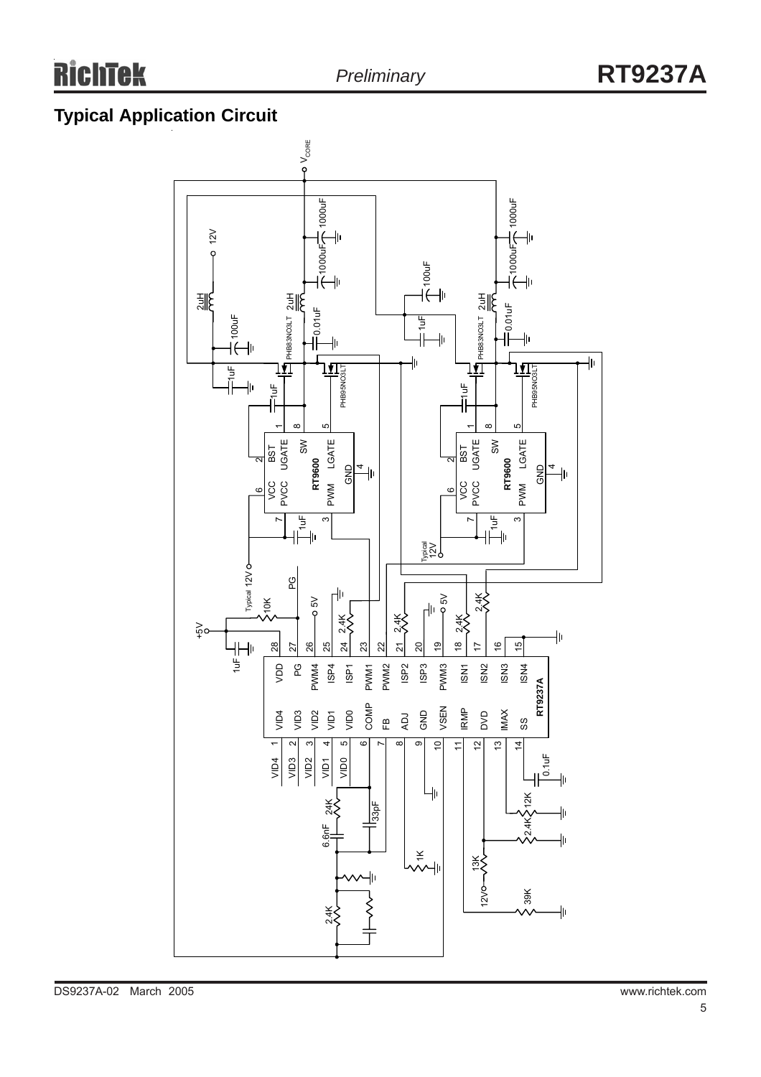# **Typical Application Circuit**

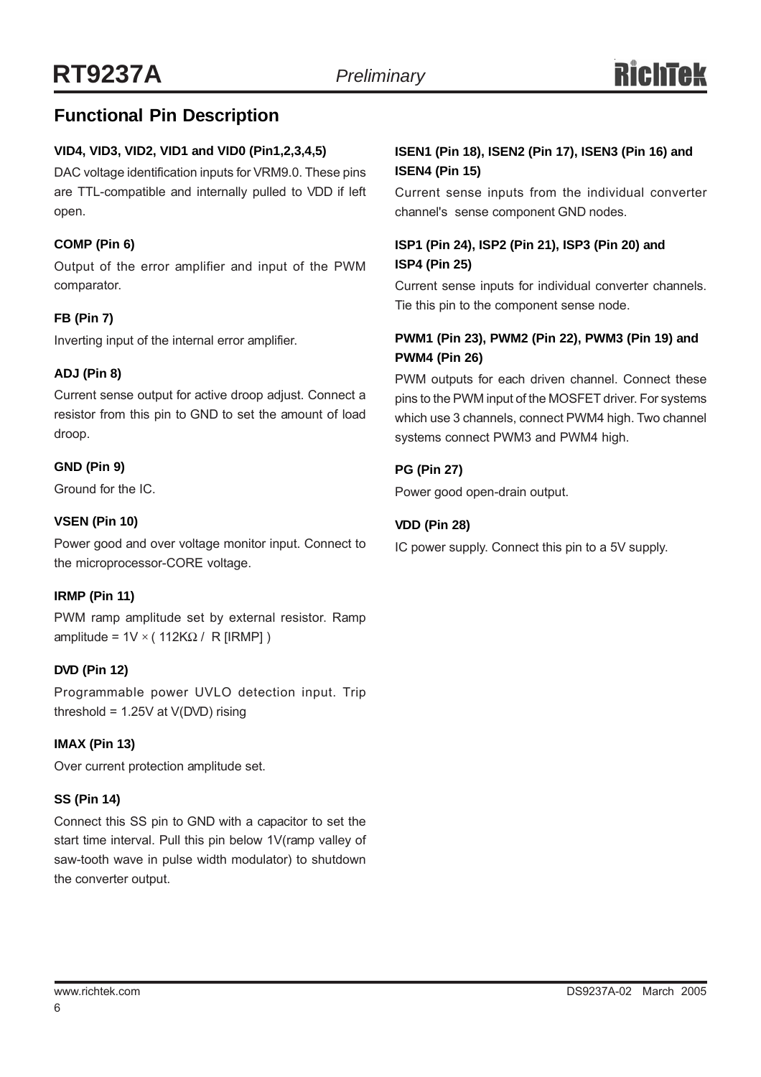# **Functional Pin Description**

## **VID4, VID3, VID2, VID1 and VID0 (Pin1,2,3,4,5)**

DAC voltage identification inputs for VRM9.0. These pins are TTL-compatible and internally pulled to VDD if left open.

## **COMP (Pin 6)**

Output of the error amplifier and input of the PWM comparator.

## **FB (Pin 7)**

Inverting input of the internal error amplifier.

## **ADJ (Pin 8)**

Current sense output for active droop adjust. Connect a resistor from this pin to GND to set the amount of load droop.

## **GND (Pin 9)**

Ground for the IC.

## **VSEN (Pin 10)**

Power good and over voltage monitor input. Connect to the microprocessor-CORE voltage.

## **IRMP (Pin 11)**

PWM ramp amplitude set by external resistor. Ramp amplitude =  $1V \times (112KΩ / R [IRMP])$ 

## **DVD (Pin 12)**

Programmable power UVLO detection input. Trip threshold =  $1.25V$  at  $V(DVD)$  rising

## **IMAX (Pin 13)**

Over current protection amplitude set.

## **SS (Pin 14)**

Connect this SS pin to GND with a capacitor to set the start time interval. Pull this pin below 1V(ramp valley of saw-tooth wave in pulse width modulator) to shutdown the converter output.

## **ISEN1 (Pin 18), ISEN2 (Pin 17), ISEN3 (Pin 16) and ISEN4 (Pin 15)**

Current sense inputs from the individual converter channel's sense component GND nodes.

## **ISP1 (Pin 24), ISP2 (Pin 21), ISP3 (Pin 20) and ISP4 (Pin 25)**

Current sense inputs for individual converter channels. Tie this pin to the component sense node.

# **PWM1 (Pin 23), PWM2 (Pin 22), PWM3 (Pin 19) and PWM4 (Pin 26)**

PWM outputs for each driven channel. Connect these pins to the PWM input of the MOSFET driver. For systems which use 3 channels, connect PWM4 high. Two channel systems connect PWM3 and PWM4 high.

## **PG (Pin 27)**

Power good open-drain output.

# **VDD (Pin 28)**

IC power supply. Connect this pin to a 5V supply.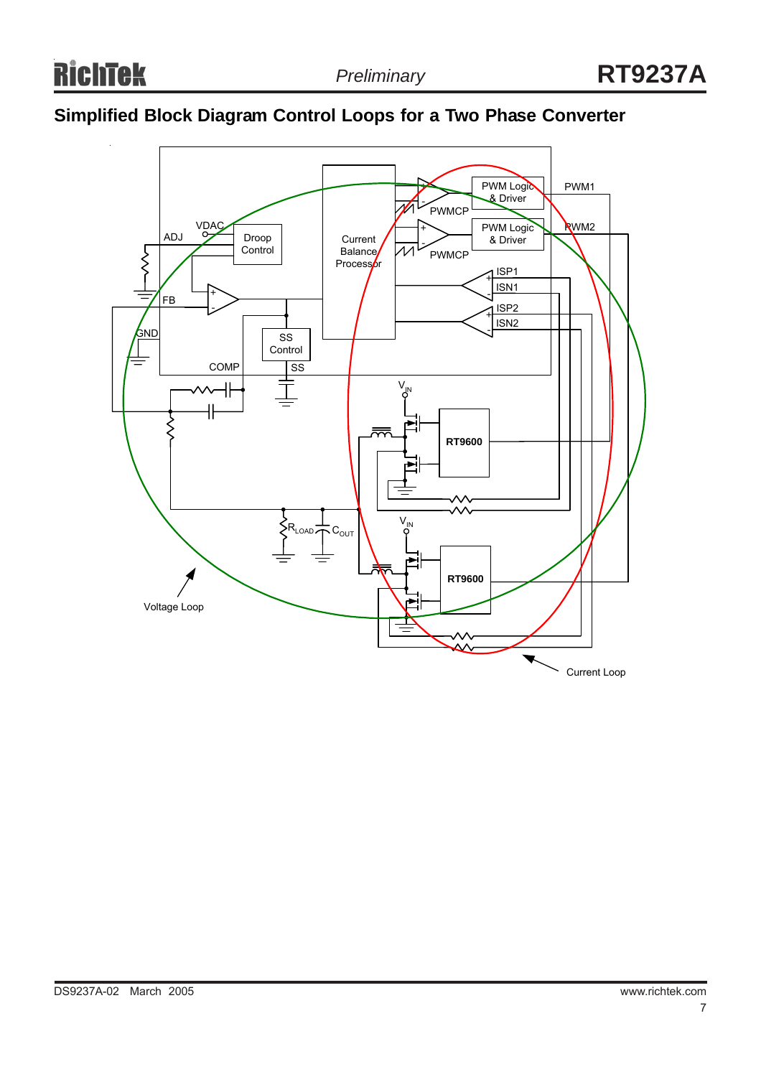# **Simplified Block Diagram Control Loops for a Two Phase Converter**

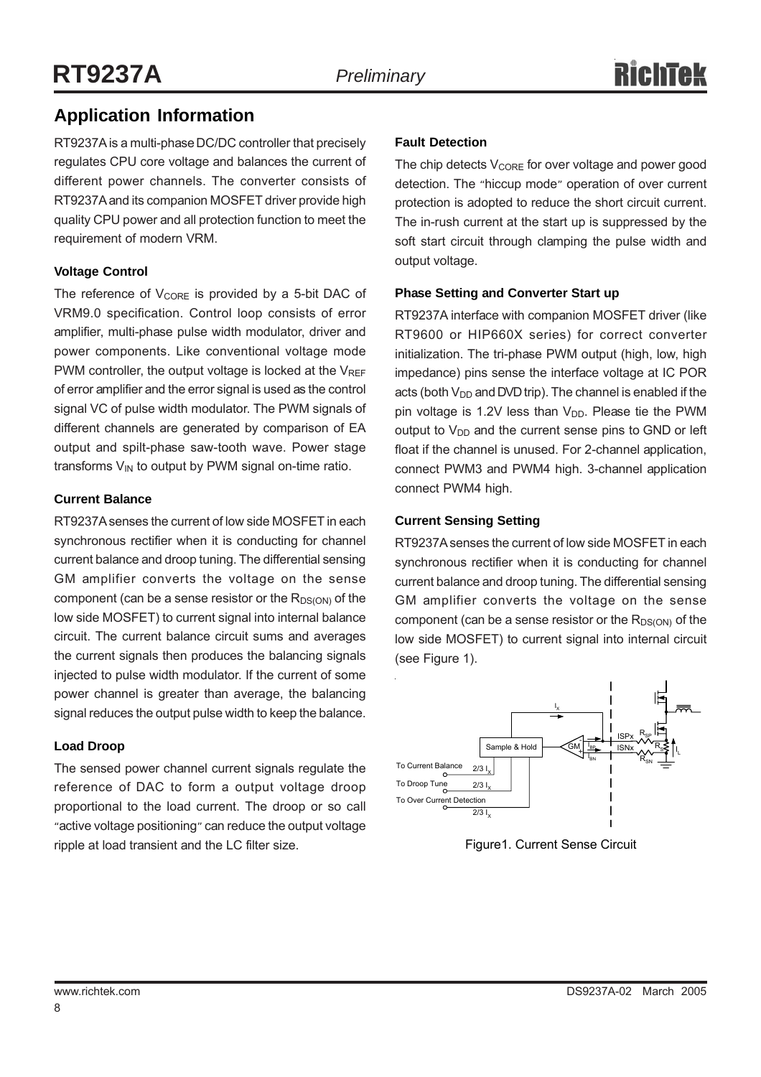# **Application Information**

RT9237A is a multi-phase DC/DC controller that precisely regulates CPU core voltage and balances the current of different power channels. The converter consists of RT9237A and its companion MOSFET driver provide high quality CPU power and all protection function to meet the requirement of modern VRM.

# **Voltage Control**

The reference of  $V_{CORE}$  is provided by a 5-bit DAC of VRM9.0 specification. Control loop consists of error amplifier, multi-phase pulse width modulator, driver and power components. Like conventional voltage mode PWM controller, the output voltage is locked at the  $V_{REF}$ of error amplifier and the error signal is used as the control signal VC of pulse width modulator. The PWM signals of different channels are generated by comparison of EA output and spilt-phase saw-tooth wave. Power stage transforms  $V_{IN}$  to output by PWM signal on-time ratio.

## **Current Balance**

RT9237A senses the current of low side MOSFET in each synchronous rectifier when it is conducting for channel current balance and droop tuning. The differential sensing GM amplifier converts the voltage on the sense component (can be a sense resistor or the  $R_{DS(ON)}$  of the low side MOSFET) to current signal into internal balance circuit. The current balance circuit sums and averages the current signals then produces the balancing signals injected to pulse width modulator. If the current of some power channel is greater than average, the balancing signal reduces the output pulse width to keep the balance.

## **Load Droop**

The sensed power channel current signals regulate the reference of DAC to form a output voltage droop proportional to the load current. The droop or so call "active voltage positioning" can reduce the output voltage ripple at load transient and the LC filter size.

# **Fault Detection**

The chip detects  $V_{\text{CORE}}$  for over voltage and power good detection. The "hiccup mode" operation of over current protection is adopted to reduce the short circuit current. The in-rush current at the start up is suppressed by the soft start circuit through clamping the pulse width and output voltage.

## **Phase Setting and Converter Start up**

RT9237A interface with companion MOSFET driver (like RT9600 or HIP660X series) for correct converter initialization. The tri-phase PWM output (high, low, high impedance) pins sense the interface voltage at IC POR acts (both  $V_{DD}$  and DVD trip). The channel is enabled if the pin voltage is 1.2V less than  $V_{DD}$ . Please tie the PWM output to  $V_{DD}$  and the current sense pins to GND or left float if the channel is unused. For 2-channel application, connect PWM3 and PWM4 high. 3-channel application connect PWM4 high.

## **Current Sensing Setting**

RT9237A senses the current of low side MOSFET in each synchronous rectifier when it is conducting for channel current balance and droop tuning. The differential sensing GM amplifier converts the voltage on the sense component (can be a sense resistor or the  $R_{DS(ON)}$  of the low side MOSFET) to current signal into internal circuit (see Figure 1).



Figure1. Current Sense Circuit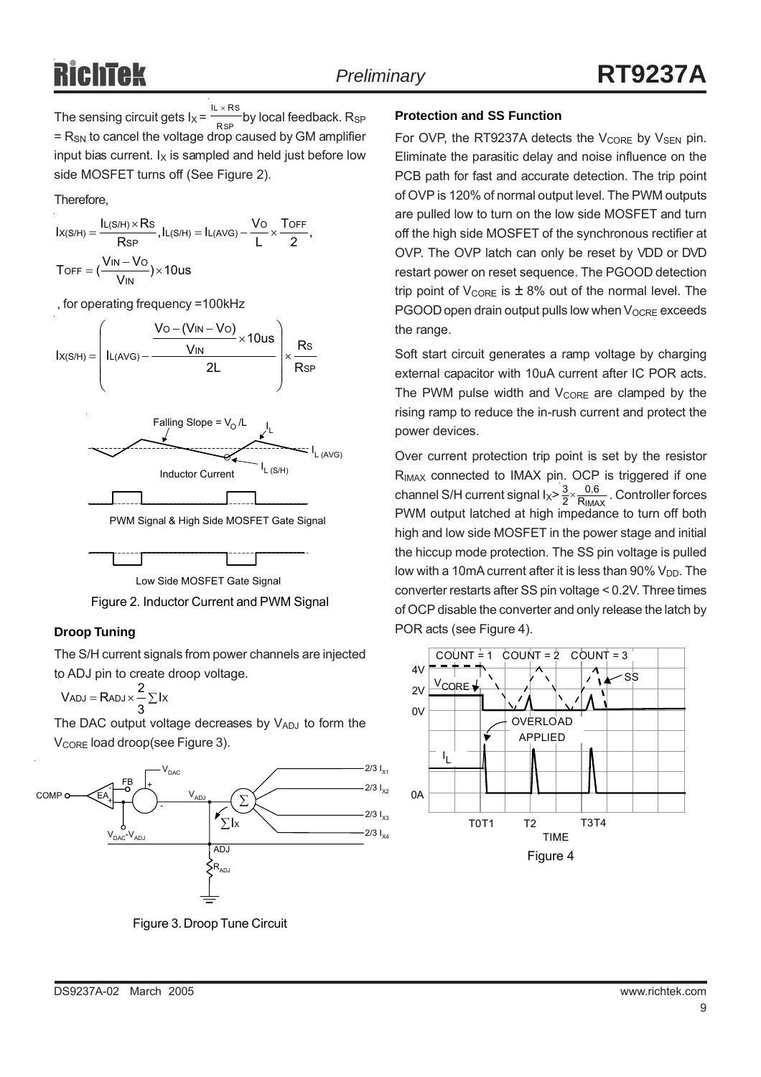The sensing circuit gets  $I_X = \frac{1}{RSP}$  by local feedback. R<sub>SP</sub>  $=$  R<sub>SN</sub> to cancel the voltage drop caused by GM amplifier input bias current.  $I_X$  is sampled and held just before low side MOSFET turns off (See Figure 2). L  $\times$  RS R IL  $\times$  R

Therefore,

$$
\begin{aligned} l_{X(S/H)}&=\frac{l_{L(S/H)\times RS}}{R_{SP}}, l_{L(S/H)}=l_{L(AVG)}-\frac{V_O}{L}\times\frac{T_{OFF}}{2},\\ T_{OFF}&=(\frac{V_{IN}-V_O}{V_{IN}})\times10us \end{aligned}
$$

, for operating frequency =100kHz







# **Droop Tuning**

The S/H current signals from power channels are injected to ADJ pin to create droop voltage.

$$
V_{ADJ}=R_{ADJ}\times\frac{2}{3}\sum Ix
$$

The DAC output voltage decreases by  $V_{ADJ}$  to form the V<sub>CORE</sub> load droop(see Figure 3).



Figure 3. Droop Tune Circuit

## **Protection and SS Function**

For OVP, the RT9237A detects the  $V_{\text{CORE}}$  by  $V_{\text{SEN}}$  pin. Eliminate the parasitic delay and noise influence on the PCB path for fast and accurate detection. The trip point of OVP is 120% of normal output level. The PWM outputs are pulled low to turn on the low side MOSFET and turn off the high side MOSFET of the synchronous rectifier at OVP. The OVP latch can only be reset by VDD or DVD restart power on reset sequence. The PGOOD detection trip point of  $V_{\text{CORE}}$  is  $\pm 8\%$  out of the normal level. The PGOOD open drain output pulls low when V<sub>OCRE</sub> exceeds the range.

Soft start circuit generates a ramp voltage by charging external capacitor with 10uA current after IC POR acts. The PWM pulse width and  $V_{\text{CORE}}$  are clamped by the rising ramp to reduce the in-rush current and protect the power devices.

Over current protection trip point is set by the resistor R<sub>IMAX</sub> connected to IMAX pin. OCP is triggered if one channel S/H current signal  $I_X > \frac{3}{2} \times \frac{0.6}{R_{IMAX}}$ . Controller forces PWM output latched at high impedance to turn off both high and low side MOSFET in the power stage and initial the hiccup mode protection. The SS pin voltage is pulled low with a 10mA current after it is less than  $90\%$  V<sub>DD</sub>. The converter restarts after SS pin voltage < 0.2V. Three times of OCP disable the converter and only release the latch by POR acts (see Figure 4). 0.6  $\frac{3}{2}$   $\times$ 

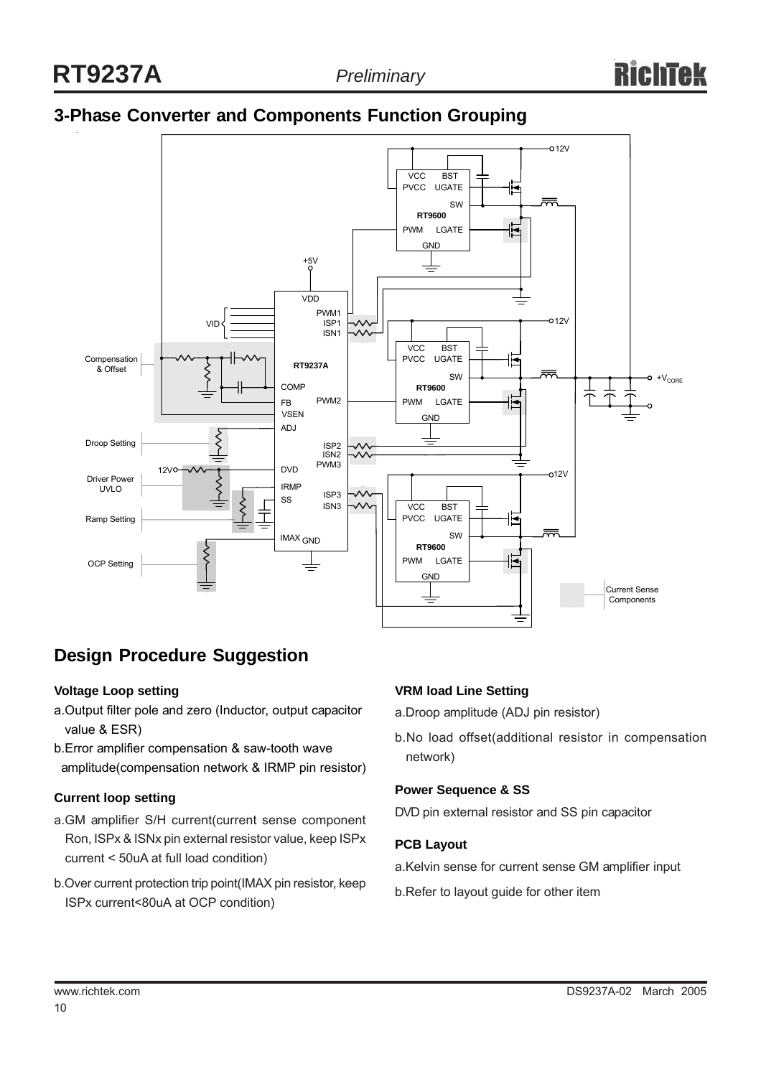# **3-Phase Converter and Components Function Grouping**



# **Design Procedure Suggestion**

## **Voltage Loop setting**

- a.Output filter pole and zero (Inductor, output capacitor value & ESR)
- b.Error amplifier compensation & saw-tooth wave amplitude(compensation network & IRMP pin resistor)

## **Current loop setting**

- a.GM amplifier S/H current(current sense component Ron, ISPx & ISNx pin external resistor value, keep ISPx current < 50uA at full load condition)
- b.Over current protection trip point(IMAX pin resistor, keep ISPx current<80uA at OCP condition)

## **VRM load Line Setting**

- a.Droop amplitude (ADJ pin resistor)
- b.No load offset(additional resistor in compensation network)

#### **Power Sequence & SS**

DVD pin external resistor and SS pin capacitor

#### **PCB Layout**

- a.Kelvin sense for current sense GM amplifier input
- b.Refer to layout guide for other item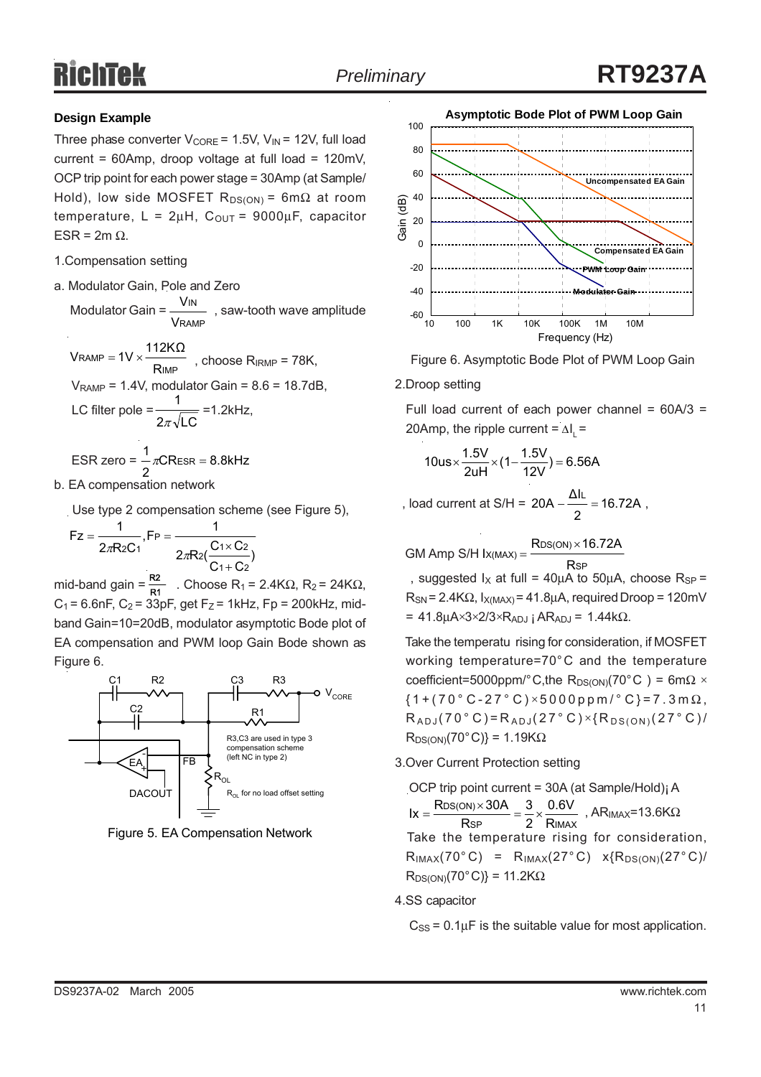## **Design Example**

Three phase converter  $V_{\text{CORE}} = 1.5V$ ,  $V_{\text{IN}} = 12V$ , full load current = 60Amp, droop voltage at full load = 120mV, OCP trip point for each power stage = 30Amp (at Sample/ Hold), low side MOSFET  $R_{DS(ON)} = 6m\Omega$  at room temperature,  $L = 2\mu H$ ,  $C_{OUT} = 9000\mu F$ , capacitor ESR =  $2m \Omega$ .

- 1.Compensation setting
- a. Modulator Gain, Pole and Zero

Modulator Gain =  $\frac{1}{1}$ , saw-tooth wave amplitude RAMP IN V V  $\mathsf{V}\textsubscript{RAMP}= \mathsf{1}\mathsf{V}\times \frac{\mathsf{1}\mathsf{1}\mathsf{2}\mathsf{K}\Omega}{\phantom{\big|}}$ 

 $V$ RAMP = 1V  $\times$  THE RIMP TRAMP = 78K,  $V_{\text{RAMP}}$  = 1.4V, modulator Gain = 8.6 = 18.7dB, LC filter pole =  $\frac{1}{\sqrt{1-\frac{1}{1-\frac{1}{1-\frac{1}{1-\frac{1}{1-\frac{1}{1-\frac{1}{1-\frac{1}{1-\frac{1}{1-\frac{1}{1-\frac{1}{1-\frac{1}{1-\frac{1}{1-\frac{1}{1-\frac{1}{1-\frac{1}{1-\frac{1}{1-\frac{1}{1-\frac{1}{1-\frac{1}{1-\frac{1}{1-\frac{1}{1-\frac{1}{1-\frac{1}{1-\frac{1}{1-\frac{1}{1-\frac{1}{1-\frac{1}{1-\frac{1}{1-\frac{1}{1-\frac{1}{1-\frac{1}{1-\frac{1}{1-\frac$  $\begin{array}{c} \mathsf{RAMP} = \mathsf{1V} \times \longrightarrow \qquad \qquad \mathsf{R} \end{array}$ 

$$
2\pi\sqrt{LC}
$$

$$
ESR zero = \frac{1}{2} \pi CR_{ESR} = 8.8kHz
$$

b. EA compensation network

Use type 2 compensation scheme (see Figure 5),

$$
Fz = \frac{1}{2\pi R2C_1}, FP = \frac{1}{2\pi R2(\frac{C_1 \times C_2}{C_1 + C_2})}
$$

mid-band gain =  $\frac{L}{R1}$  . Choose R<sub>1</sub> = 2.4KΩ, R<sub>2</sub> = 24KΩ,  $C_1$  = 6.6nF,  $C_2$  = 33pF, get F<sub>Z</sub> = 1kHz, Fp = 200kHz, midband Gain=10=20dB, modulator asymptotic Bode plot of EA compensation and PWM loop Gain Bode shown as Figure 6. R2



Figure 5. EA Compensation Network





#### 2.Droop setting

Full load current of each power channel =  $60A/3$  = 20Amp, the ripple current =  $\Delta I_{L}$  =

$$
10us \times \frac{1.5V}{2uH} \times (1 - \frac{1.5V}{12V}) = 6.56A
$$

, load current at S/H =  $20A - 16.72A$ , 2  $20A - \frac{\Delta I L}{I} =$ 

 $GM$  Amp S/H I $x_{(MAX)} = \frac{R_{DS(ON)} \times 16.72A}{R_{DS(ON)}}$ Rsp

, suggested  $I_X$  at full = 40µA to 50µA, choose  $R_{SP}$  =  $R_{SN}$  = 2.4K $\Omega$ ,  $I_{X(MAX)}$  = 41.8µA, required Droop = 120mV  $= 41.8 \mu A \times 3 \times 2/3 \times R_{ADJ}$  ; AR<sub>ADJ</sub> = 1.44kΩ.

 Take the temperatu rising for consideration, if MOSFET working temperature=70°C and the temperature coefficient=5000ppm/°C,the R<sub>DS(ON)</sub>(70°C) = 6m $\Omega \times$  ${1+(70 °C-27 °C) \times 5000 ppm / °C} = 7.3 m \Omega$ ,  $R_{ADJ} (70\degree C) = R_{ADJ} (27\degree C) \times \{R_{DS(ON)} (27\degree C) /$  $R_{DS(ON)}(70^{\circ}C)\}=1.19K\Omega$ 

#### 3.Over Current Protection setting

 OCP trip point current = 30A (at Sample/Hold)¡ A  $\text{Ix} = \frac{\text{RBS(ON)} \times \text{SON}}{\text{Rsp}} = \frac{3}{2} \times \frac{0.0 \text{ V}}{\text{RIMAX}}$ , AR<sub>IMAX</sub>=13.6K $\Omega$  Take the temperature rising for consideration,  $R<sub>IMAX</sub>(70°C) = R<sub>IMAX</sub>(27°C) \times {R<sub>DS(ON)</sub>(27°C)}$  $R_{DS(ON)}(70^{\circ}C)\}=11.2K\Omega$ DS(ON) R 0.6V 2 3  $\text{lx} = \frac{\text{Rbs}(\text{ON}) \times 30\text{A}}{\text{Rsp}} = \frac{3}{2} \times$ 

4.SS capacitor

 $C_{SS}$  = 0.1 $\mu$ F is the suitable value for most application.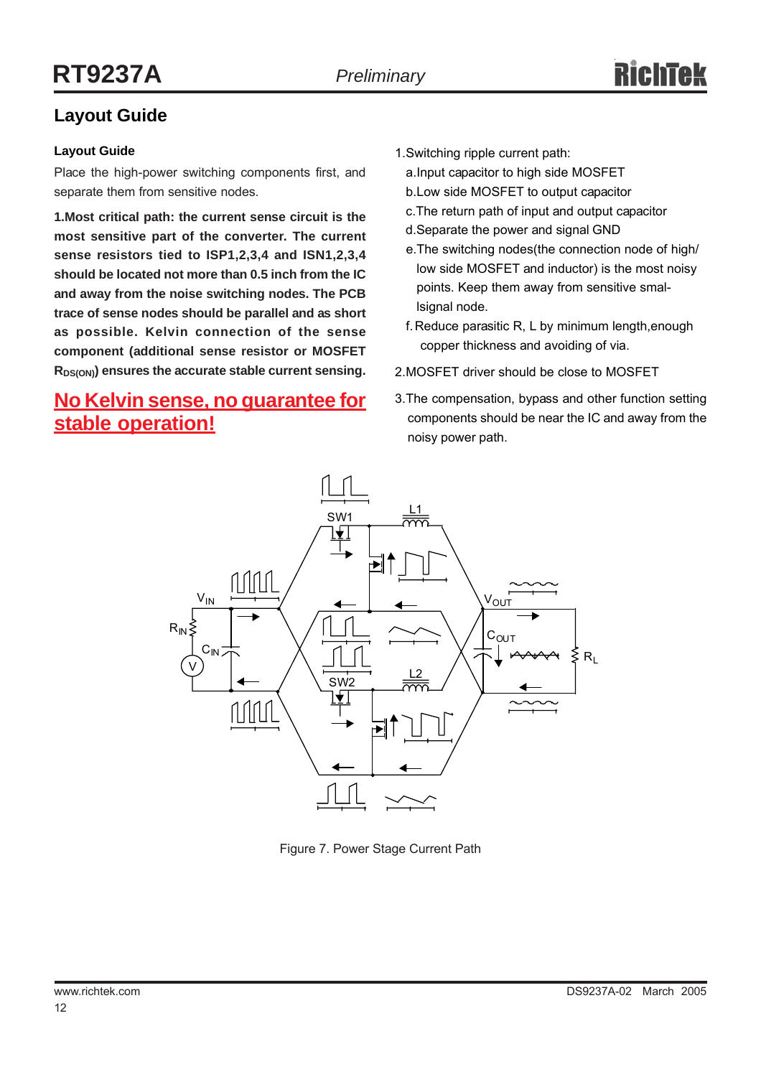# **Layout Guide**

## **Layout Guide**

Place the high-power switching components first, and separate them from sensitive nodes.

**1.Most critical path: the current sense circuit is the most sensitive part of the converter. The current sense resistors tied to ISP1,2,3,4 and ISN1,2,3,4 should be located not more than 0.5 inch from the IC and away from the noise switching nodes. The PCB trace of sense nodes should be parallel and as short as possible. Kelvin connection of the sense component (additional sense resistor or MOSFET**  $R_{DS(ON)}$  ensures the accurate stable current sensing.

# **No Kelvin sense, no guarantee for stable operation!**

- 1.Switching ripple current path:
	- a.Input capacitor to high side MOSFET
	- b.Low side MOSFET to output capacitor
	- c.The return path of input and output capacitor
	- d.Separate the power and signal GND
	- e.The switching nodes(the connection node of high/ low side MOSFET and inductor) is the most noisy points. Keep them away from sensitive smallsignal node.
	- f.Reduce parasitic R, L by minimum length,enough copper thickness and avoiding of via.
- 2.MOSFET driver should be close to MOSFET
- 3.The compensation, bypass and other function setting components should be near the IC and away from the noisy power path.



Figure 7. Power Stage Current Path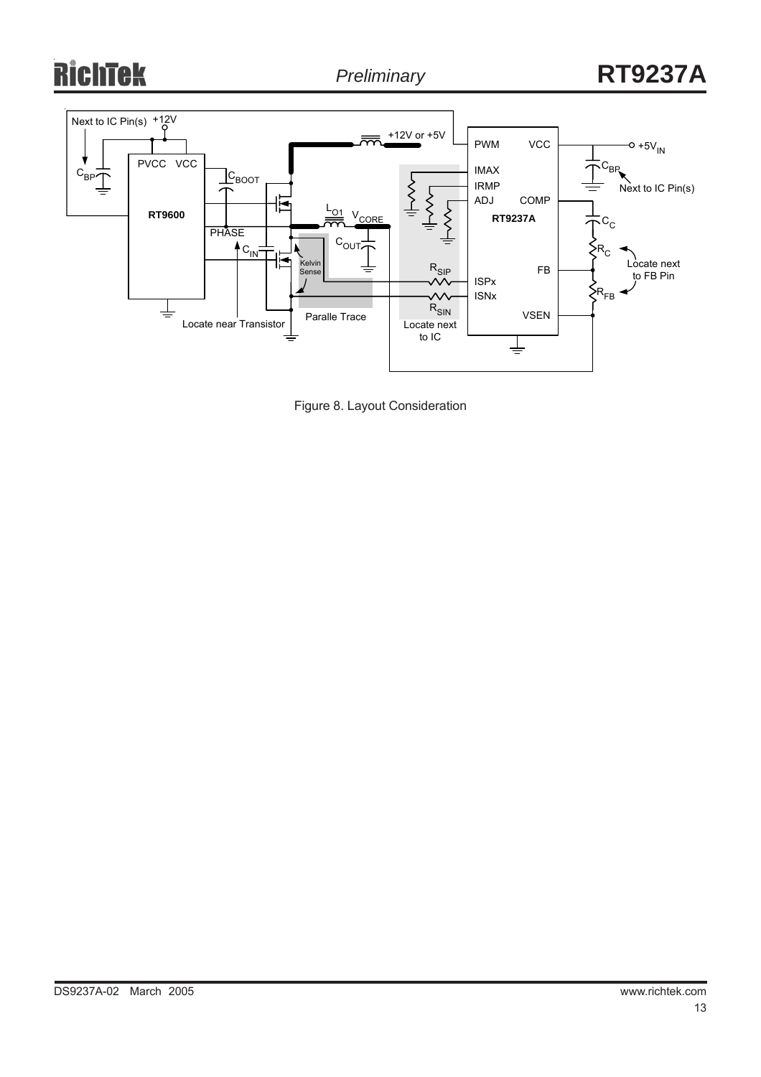# ichtek



Figure 8. Layout Consideration